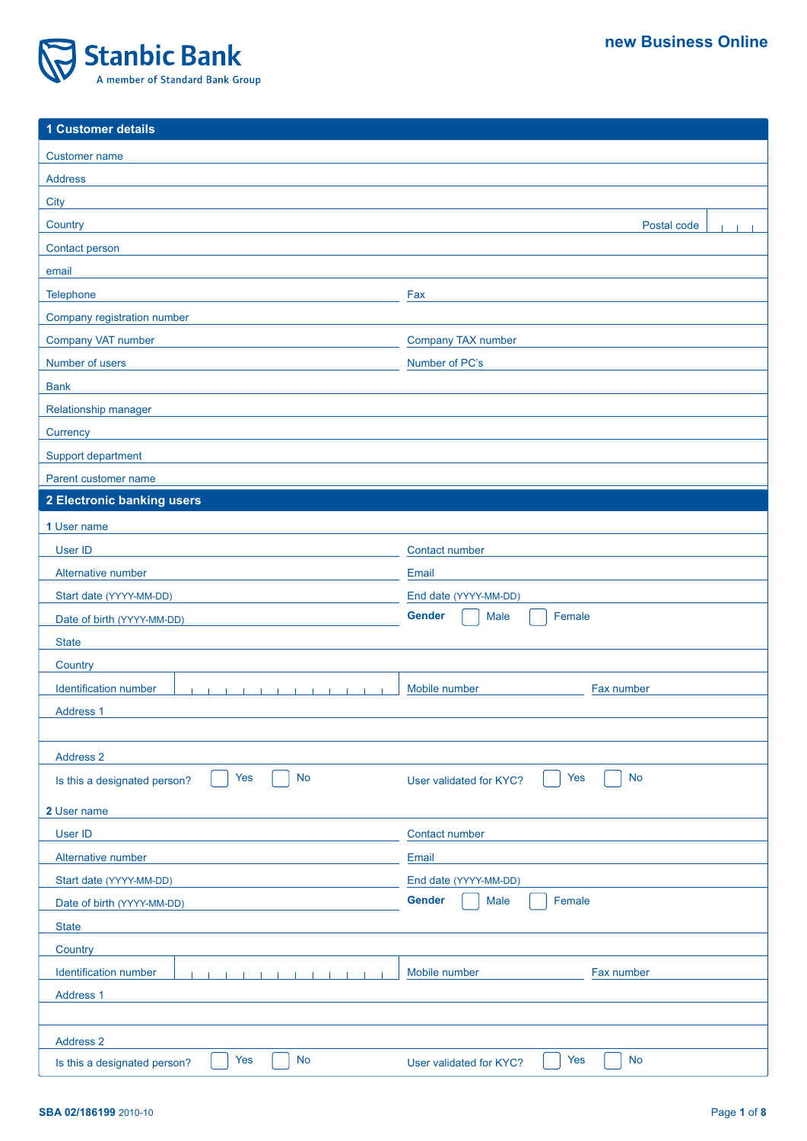

| 1 Customer details                                               |                                             |  |  |
|------------------------------------------------------------------|---------------------------------------------|--|--|
| <b>Customer name</b>                                             |                                             |  |  |
| <b>Address</b>                                                   |                                             |  |  |
| <b>City</b>                                                      |                                             |  |  |
| Country                                                          | Postal code                                 |  |  |
| <b>Contact person</b>                                            |                                             |  |  |
| email                                                            |                                             |  |  |
| Telephone                                                        | Fax                                         |  |  |
| Company registration number                                      |                                             |  |  |
| Company VAT number                                               | Company TAX number                          |  |  |
| Number of users                                                  | Number of PC's                              |  |  |
| <b>Bank</b>                                                      |                                             |  |  |
| Relationship manager                                             |                                             |  |  |
| Currency                                                         |                                             |  |  |
| Support department                                               |                                             |  |  |
| Parent customer name                                             |                                             |  |  |
| 2 Electronic banking users                                       |                                             |  |  |
| 1 User name                                                      |                                             |  |  |
| User ID                                                          | Contact number                              |  |  |
| Alternative number                                               | Email                                       |  |  |
| Start date (YYYY-MM-DD)                                          | End date (YYYY-MM-DD)                       |  |  |
| Date of birth (YYYY-MM-DD)                                       | <b>Gender</b><br>Female<br>Male             |  |  |
| <b>State</b>                                                     |                                             |  |  |
| Country                                                          |                                             |  |  |
| <b>Identification number</b>                                     | Mobile number<br>Fax number                 |  |  |
| Address 1                                                        |                                             |  |  |
|                                                                  |                                             |  |  |
| <b>Address 2</b>                                                 |                                             |  |  |
| <b>No</b><br>Yes<br>Is this a designated person?                 | <b>No</b><br>Yes<br>User validated for KYC? |  |  |
| 2 User name                                                      |                                             |  |  |
| User ID                                                          | Contact number                              |  |  |
| Alternative number                                               | Email                                       |  |  |
| Start date (YYYY-MM-DD)                                          | End date (YYYY-MM-DD)                       |  |  |
| Date of birth (YYYY-MM-DD)                                       | <b>Gender</b><br>Female<br>Male             |  |  |
| <b>State</b>                                                     |                                             |  |  |
| Country                                                          |                                             |  |  |
| <b>Identification number</b><br>$\blacksquare$<br>$\blacksquare$ | Mobile number<br>Fax number                 |  |  |
| Address 1                                                        |                                             |  |  |
|                                                                  |                                             |  |  |
| Address 2                                                        |                                             |  |  |
| Yes<br><b>No</b><br>Is this a designated person?                 | <b>No</b><br>Yes<br>User validated for KYC? |  |  |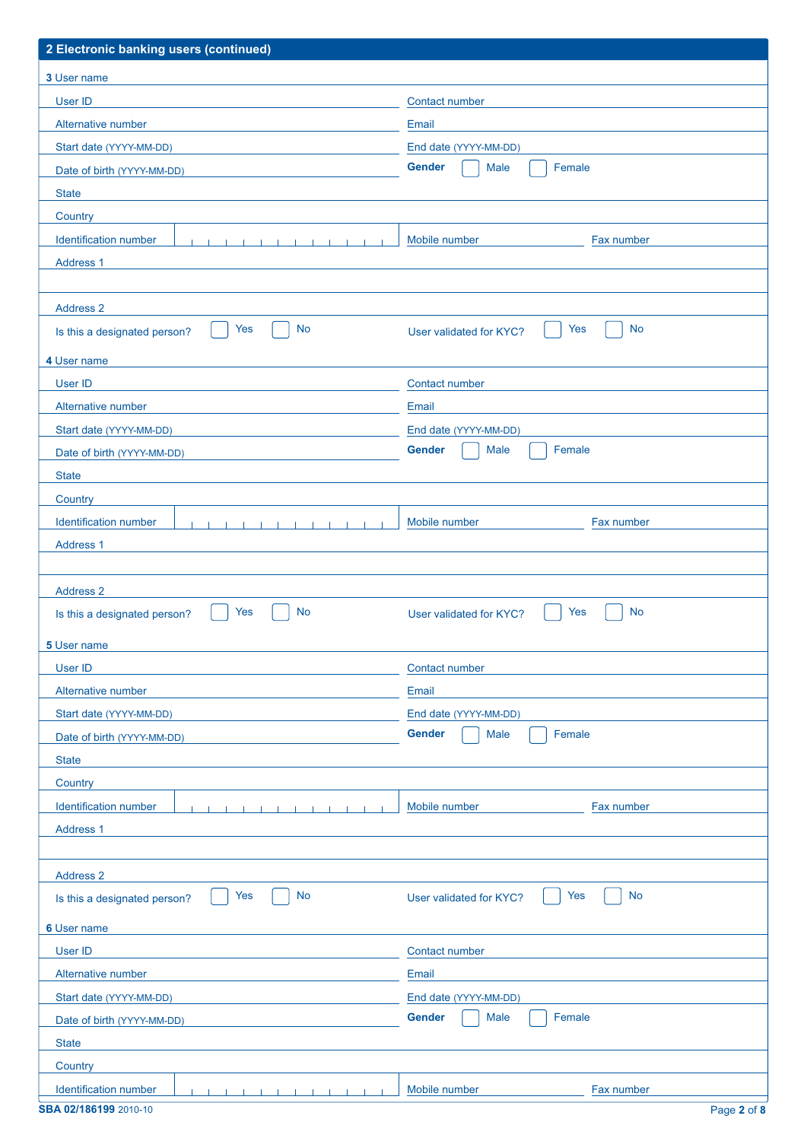| 2 Electronic banking users (continued)                                               |                                                          |  |  |
|--------------------------------------------------------------------------------------|----------------------------------------------------------|--|--|
| 3 User name                                                                          |                                                          |  |  |
| User ID                                                                              | Contact number                                           |  |  |
| Alternative number                                                                   | Email                                                    |  |  |
| Start date (YYYY-MM-DD)                                                              | End date (YYYY-MM-DD)                                    |  |  |
| Date of birth (YYYY-MM-DD)                                                           | <b>Gender</b><br>Male<br>Female                          |  |  |
| <b>State</b>                                                                         |                                                          |  |  |
| Country                                                                              |                                                          |  |  |
| Identification number<br>$-1$ , $-1$ , $-1$ , $-1$ , $-1$ , $-1$<br>$\sim$ 1<br>- 11 | Fax number<br>Mobile number                              |  |  |
| Address 1                                                                            |                                                          |  |  |
|                                                                                      |                                                          |  |  |
| <b>Address 2</b>                                                                     |                                                          |  |  |
| <b>Yes</b><br><b>No</b><br>Is this a designated person?                              | <b>No</b><br>Yes<br>User validated for KYC?              |  |  |
| 4 User name                                                                          |                                                          |  |  |
| User ID                                                                              | Contact number                                           |  |  |
| Alternative number                                                                   | Email                                                    |  |  |
|                                                                                      |                                                          |  |  |
| Start date (YYYY-MM-DD)                                                              | End date (YYYY-MM-DD)<br><b>Gender</b><br>Male<br>Female |  |  |
| Date of birth (YYYY-MM-DD)                                                           |                                                          |  |  |
| <b>State</b>                                                                         |                                                          |  |  |
| Country                                                                              |                                                          |  |  |
| Identification number                                                                | Fax number<br>Mobile number                              |  |  |
| Address 1                                                                            |                                                          |  |  |
| <b>Address 2</b>                                                                     |                                                          |  |  |
| Yes<br>No                                                                            | Yes<br>No                                                |  |  |
| Is this a designated person?                                                         | User validated for KYC?                                  |  |  |
| 5 User name                                                                          |                                                          |  |  |
| User ID                                                                              | Contact number                                           |  |  |
| Alternative number                                                                   | Email                                                    |  |  |
| Start date (YYYY-MM-DD)                                                              | End date (YYYY-MM-DD)                                    |  |  |
| Date of birth (YYYY-MM-DD)                                                           | <b>Gender</b><br>Male<br>Female                          |  |  |
| <b>State</b>                                                                         |                                                          |  |  |
| Country                                                                              |                                                          |  |  |
| Identification number<br>$\blacksquare$<br>$\sim$ 1.<br>$\blacksquare$               | Mobile number<br>Fax number                              |  |  |
| Address <sub>1</sub>                                                                 |                                                          |  |  |
|                                                                                      |                                                          |  |  |
| <b>Address 2</b>                                                                     |                                                          |  |  |
| <b>No</b><br>Yes<br>Is this a designated person?                                     | <b>No</b><br>Yes<br>User validated for KYC?              |  |  |
| 6 User name                                                                          |                                                          |  |  |
| <b>User ID</b>                                                                       | Contact number                                           |  |  |
| Alternative number                                                                   | Email                                                    |  |  |
| Start date (YYYY-MM-DD)                                                              | End date (YYYY-MM-DD)                                    |  |  |
| Date of birth (YYYY-MM-DD)                                                           | <b>Gender</b><br>Female<br>Male                          |  |  |
| <b>State</b>                                                                         |                                                          |  |  |
| Country                                                                              |                                                          |  |  |
| Identification number                                                                | Mobile number<br>Fax number                              |  |  |
| SBA 02/186199 2010-10                                                                | Page 2 of 8                                              |  |  |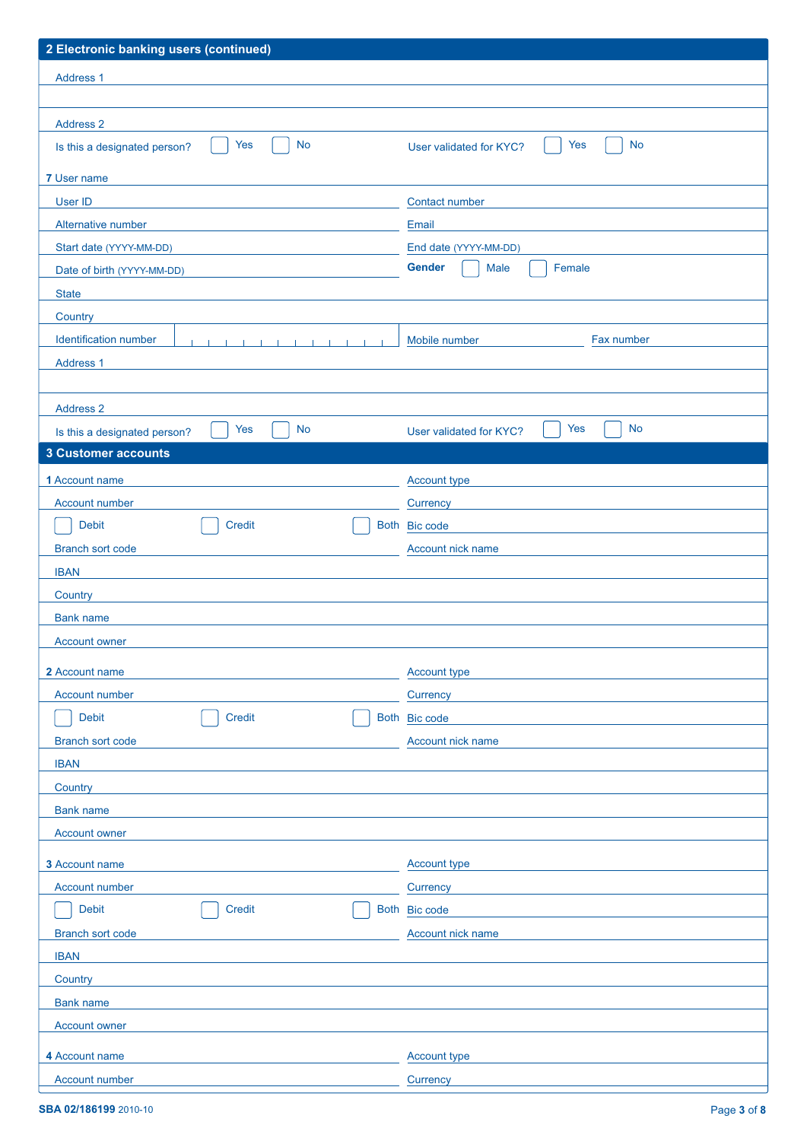| 2 Electronic banking users (continued)                                                          |                                             |  |  |
|-------------------------------------------------------------------------------------------------|---------------------------------------------|--|--|
| Address 1                                                                                       |                                             |  |  |
|                                                                                                 |                                             |  |  |
| <b>Address 2</b>                                                                                |                                             |  |  |
| <b>No</b><br>Yes<br>Is this a designated person?                                                | <b>No</b><br>Yes<br>User validated for KYC? |  |  |
|                                                                                                 |                                             |  |  |
| 7 User name                                                                                     |                                             |  |  |
| User ID                                                                                         | <b>Contact number</b>                       |  |  |
| Alternative number                                                                              | Email                                       |  |  |
| Start date (YYYY-MM-DD)                                                                         | End date (YYYY-MM-DD)                       |  |  |
| Date of birth (YYYY-MM-DD)                                                                      | <b>Gender</b><br><b>Male</b><br>Female      |  |  |
| <b>State</b>                                                                                    |                                             |  |  |
| Country                                                                                         |                                             |  |  |
| Identification number<br><b>THE REPORT OF A REPORT OF A STATE OF A REPORT</b><br>$\blacksquare$ | Mobile number<br>Fax number                 |  |  |
| Address 1                                                                                       |                                             |  |  |
|                                                                                                 |                                             |  |  |
| <b>Address 2</b>                                                                                |                                             |  |  |
| <b>No</b><br>Yes<br>Is this a designated person?                                                | Yes<br><b>No</b><br>User validated for KYC? |  |  |
| <b>3 Customer accounts</b>                                                                      |                                             |  |  |
| 1 Account name                                                                                  | Account type                                |  |  |
| <b>Account number</b>                                                                           | <b>Currency</b>                             |  |  |
| <b>Debit</b><br>Credit                                                                          | Both Bic code                               |  |  |
| <b>Branch sort code</b>                                                                         | Account nick name                           |  |  |
| <b>IBAN</b>                                                                                     |                                             |  |  |
| Country                                                                                         |                                             |  |  |
| <b>Bank name</b>                                                                                |                                             |  |  |
| <b>Account owner</b>                                                                            |                                             |  |  |
| 2 Account name                                                                                  | <b>Account type</b>                         |  |  |
| Account number                                                                                  | Currency                                    |  |  |
| Debit<br><b>Credit</b>                                                                          | Both Bic code                               |  |  |
| <b>Branch sort code</b>                                                                         | Account nick name                           |  |  |
| <b>IBAN</b>                                                                                     |                                             |  |  |
| Country                                                                                         |                                             |  |  |
| <b>Bank name</b>                                                                                |                                             |  |  |
| <b>Account owner</b>                                                                            |                                             |  |  |
| 3 Account name                                                                                  | Account type                                |  |  |
| Account number                                                                                  | Currency                                    |  |  |
| <b>Debit</b><br><b>Credit</b>                                                                   | Both Bic code                               |  |  |
|                                                                                                 |                                             |  |  |
| <b>Branch sort code</b><br><b>IBAN</b>                                                          | Account nick name                           |  |  |
|                                                                                                 |                                             |  |  |
| Country<br><b>Bank name</b>                                                                     |                                             |  |  |
| <b>Account owner</b>                                                                            |                                             |  |  |
|                                                                                                 |                                             |  |  |
| 4 Account name                                                                                  | <b>Account type</b>                         |  |  |
| <b>Account number</b>                                                                           | Currency                                    |  |  |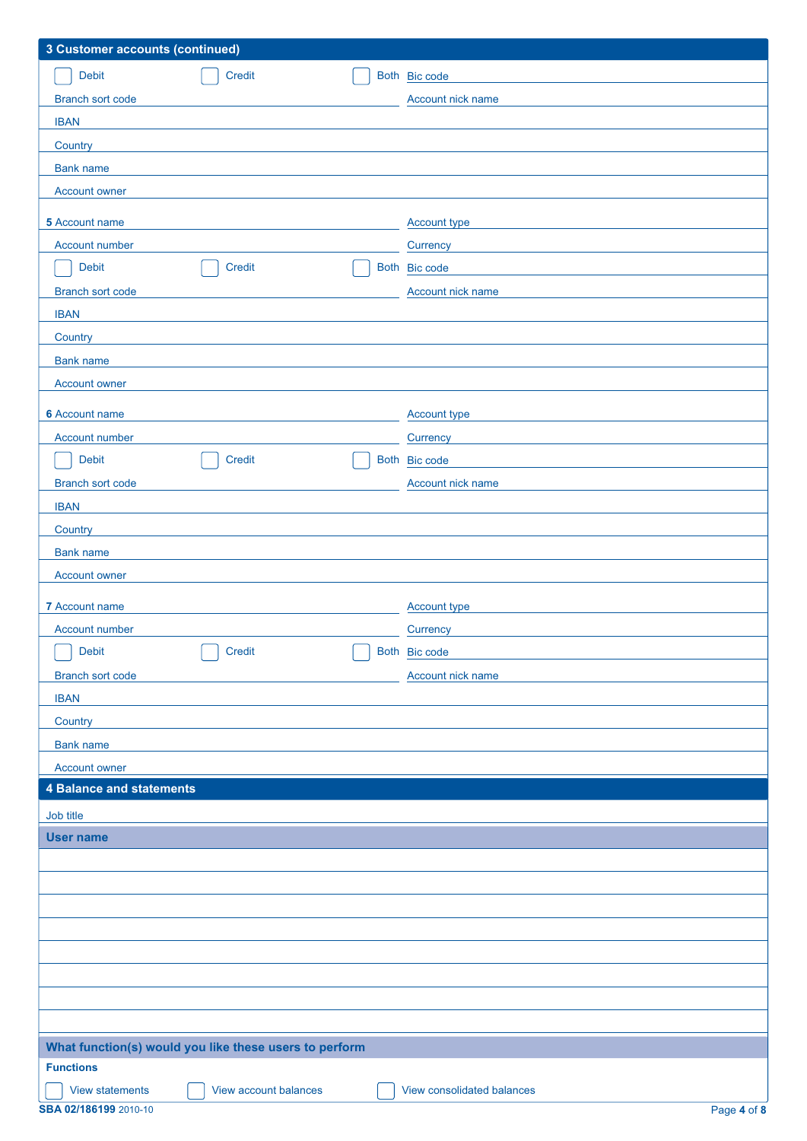| <b>3 Customer accounts (continued)</b>                 |                       |  |                            |
|--------------------------------------------------------|-----------------------|--|----------------------------|
| <b>Debit</b>                                           | Credit                |  | Both Bic code              |
| <b>Branch sort code</b>                                |                       |  | Account nick name          |
| <b>IBAN</b>                                            |                       |  |                            |
| Country                                                |                       |  |                            |
| <b>Bank name</b>                                       |                       |  |                            |
| <b>Account owner</b>                                   |                       |  |                            |
| 5 Account name                                         |                       |  | Account type               |
| Account number                                         |                       |  | Currency                   |
| Debit                                                  | Credit                |  | Both Bic code              |
| <b>Branch sort code</b>                                |                       |  | Account nick name          |
| <b>IBAN</b>                                            |                       |  |                            |
| Country                                                |                       |  |                            |
| <b>Bank name</b>                                       |                       |  |                            |
| <b>Account owner</b>                                   |                       |  |                            |
| <b>6</b> Account name                                  |                       |  | Account type               |
| Account number                                         |                       |  | Currency                   |
| Debit                                                  | Credit                |  | Both Bic code              |
| <b>Branch sort code</b>                                |                       |  | Account nick name          |
| <b>IBAN</b>                                            |                       |  |                            |
| Country                                                |                       |  |                            |
| <b>Bank name</b>                                       |                       |  |                            |
| <b>Account owner</b>                                   |                       |  |                            |
| 7 Account name                                         |                       |  | Account type               |
| <b>Account number</b>                                  |                       |  | Currency                   |
| <b>Debit</b>                                           | Credit                |  | Both Bic code              |
| Branch sort code                                       |                       |  | Account nick name          |
| <b>IBAN</b>                                            |                       |  |                            |
| Country                                                |                       |  |                            |
| <b>Bank name</b>                                       |                       |  |                            |
| <b>Account owner</b>                                   |                       |  |                            |
| <b>4 Balance and statements</b>                        |                       |  |                            |
| Job title                                              |                       |  |                            |
| <b>User name</b>                                       |                       |  |                            |
|                                                        |                       |  |                            |
|                                                        |                       |  |                            |
|                                                        |                       |  |                            |
|                                                        |                       |  |                            |
|                                                        |                       |  |                            |
|                                                        |                       |  |                            |
|                                                        |                       |  |                            |
|                                                        |                       |  |                            |
| What function(s) would you like these users to perform |                       |  |                            |
| <b>Functions</b>                                       |                       |  |                            |
| <b>View statements</b>                                 | View account balances |  | View consolidated balances |
| SBA 02/186199 2010-10                                  |                       |  | Page 4 of 8                |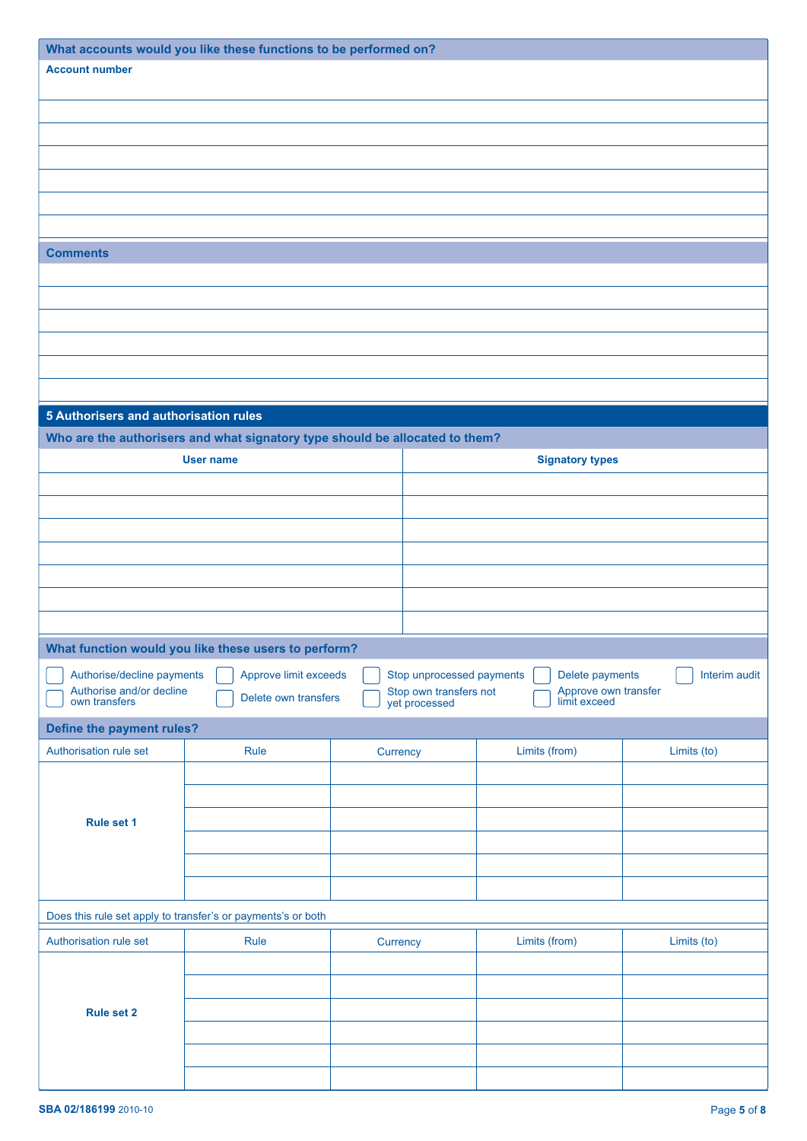| What accounts would you like these functions to be performed on? |                                                                              |          |                                         |                                      |               |
|------------------------------------------------------------------|------------------------------------------------------------------------------|----------|-----------------------------------------|--------------------------------------|---------------|
| <b>Account number</b>                                            |                                                                              |          |                                         |                                      |               |
|                                                                  |                                                                              |          |                                         |                                      |               |
|                                                                  |                                                                              |          |                                         |                                      |               |
|                                                                  |                                                                              |          |                                         |                                      |               |
|                                                                  |                                                                              |          |                                         |                                      |               |
|                                                                  |                                                                              |          |                                         |                                      |               |
|                                                                  |                                                                              |          |                                         |                                      |               |
| <b>Comments</b>                                                  |                                                                              |          |                                         |                                      |               |
|                                                                  |                                                                              |          |                                         |                                      |               |
|                                                                  |                                                                              |          |                                         |                                      |               |
|                                                                  |                                                                              |          |                                         |                                      |               |
|                                                                  |                                                                              |          |                                         |                                      |               |
|                                                                  |                                                                              |          |                                         |                                      |               |
|                                                                  |                                                                              |          |                                         |                                      |               |
| 5 Authorisers and authorisation rules                            |                                                                              |          |                                         |                                      |               |
|                                                                  | Who are the authorisers and what signatory type should be allocated to them? |          |                                         |                                      |               |
|                                                                  | <b>User name</b>                                                             |          |                                         | <b>Signatory types</b>               |               |
|                                                                  |                                                                              |          |                                         |                                      |               |
|                                                                  |                                                                              |          |                                         |                                      |               |
|                                                                  |                                                                              |          |                                         |                                      |               |
|                                                                  |                                                                              |          |                                         |                                      |               |
|                                                                  |                                                                              |          |                                         |                                      |               |
|                                                                  |                                                                              |          |                                         |                                      |               |
|                                                                  |                                                                              |          |                                         |                                      |               |
|                                                                  | What function would you like these users to perform?                         |          |                                         |                                      |               |
| Authorise/decline payments                                       | Approve limit exceeds                                                        |          | Stop unprocessed payments               | Delete payments                      | Interim audit |
| Authorise and/or decline<br>own transfers                        | Delete own transfers                                                         |          | Stop own transfers not<br>yet processed | Approve own transfer<br>limit exceed |               |
| Define the payment rules?                                        |                                                                              |          |                                         |                                      |               |
| Authorisation rule set                                           | Rule                                                                         | Currency |                                         | Limits (from)                        | Limits (to)   |
|                                                                  |                                                                              |          |                                         |                                      |               |
|                                                                  |                                                                              |          |                                         |                                      |               |
| Rule set 1                                                       |                                                                              |          |                                         |                                      |               |
|                                                                  |                                                                              |          |                                         |                                      |               |
|                                                                  |                                                                              |          |                                         |                                      |               |
|                                                                  |                                                                              |          |                                         |                                      |               |
| Does this rule set apply to transfer's or payments's or both     |                                                                              |          |                                         |                                      |               |
| Authorisation rule set                                           | Rule                                                                         | Currency |                                         | Limits (from)                        | Limits (to)   |
|                                                                  |                                                                              |          |                                         |                                      |               |
|                                                                  |                                                                              |          |                                         |                                      |               |
| <b>Rule set 2</b>                                                |                                                                              |          |                                         |                                      |               |
|                                                                  |                                                                              |          |                                         |                                      |               |
|                                                                  |                                                                              |          |                                         |                                      |               |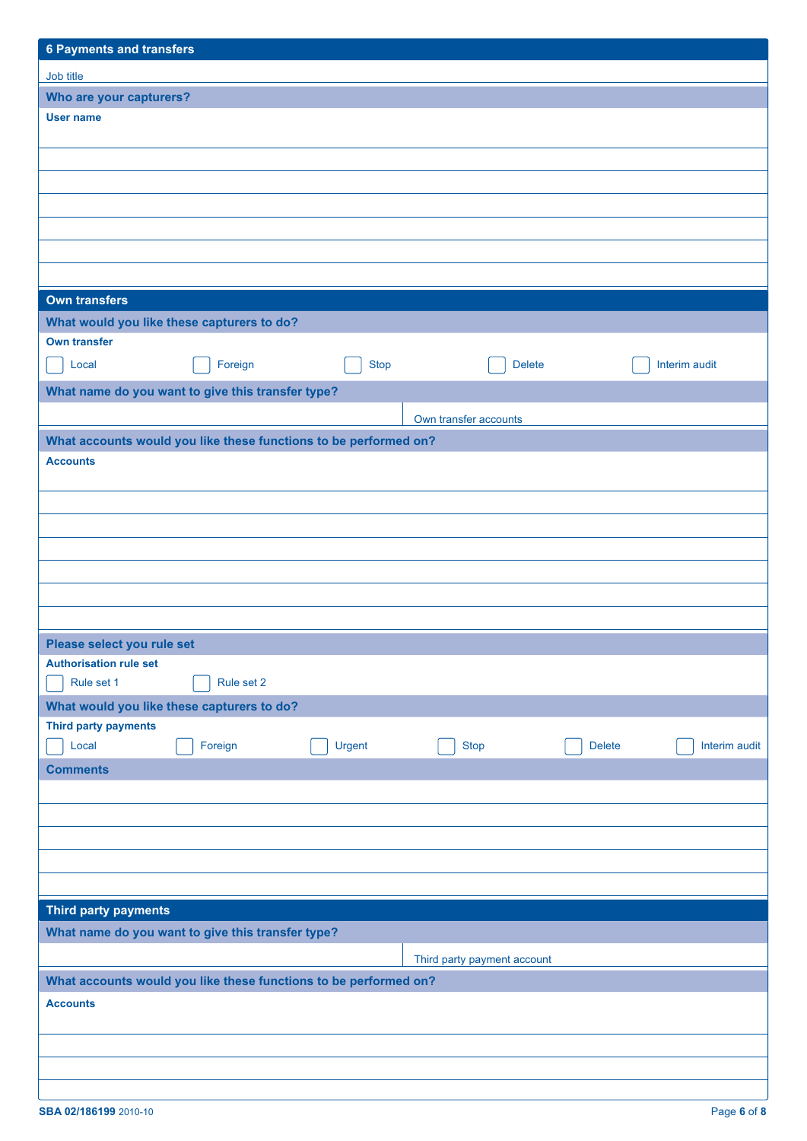| <b>6 Payments and transfers</b>                                  |            |             |                             |               |               |
|------------------------------------------------------------------|------------|-------------|-----------------------------|---------------|---------------|
| Job title                                                        |            |             |                             |               |               |
| Who are your capturers?                                          |            |             |                             |               |               |
| <b>User name</b>                                                 |            |             |                             |               |               |
|                                                                  |            |             |                             |               |               |
|                                                                  |            |             |                             |               |               |
|                                                                  |            |             |                             |               |               |
|                                                                  |            |             |                             |               |               |
|                                                                  |            |             |                             |               |               |
|                                                                  |            |             |                             |               |               |
|                                                                  |            |             |                             |               |               |
| <b>Own transfers</b>                                             |            |             |                             |               |               |
| What would you like these capturers to do?                       |            |             |                             |               |               |
| <b>Own transfer</b>                                              |            |             |                             |               |               |
| Local                                                            | Foreign    | <b>Stop</b> | <b>Delete</b>               |               | Interim audit |
| What name do you want to give this transfer type?                |            |             |                             |               |               |
|                                                                  |            |             |                             |               |               |
|                                                                  |            |             | Own transfer accounts       |               |               |
| What accounts would you like these functions to be performed on? |            |             |                             |               |               |
| <b>Accounts</b>                                                  |            |             |                             |               |               |
|                                                                  |            |             |                             |               |               |
|                                                                  |            |             |                             |               |               |
|                                                                  |            |             |                             |               |               |
|                                                                  |            |             |                             |               |               |
|                                                                  |            |             |                             |               |               |
|                                                                  |            |             |                             |               |               |
|                                                                  |            |             |                             |               |               |
| Please select you rule set                                       |            |             |                             |               |               |
| <b>Authorisation rule set</b><br>Rule set 1                      | Rule set 2 |             |                             |               |               |
|                                                                  |            |             |                             |               |               |
| What would you like these capturers to do?                       |            |             |                             |               |               |
| Third party payments<br>Local                                    | Foreign    | Urgent      | <b>Stop</b>                 | <b>Delete</b> | Interim audit |
| <b>Comments</b>                                                  |            |             |                             |               |               |
|                                                                  |            |             |                             |               |               |
|                                                                  |            |             |                             |               |               |
|                                                                  |            |             |                             |               |               |
|                                                                  |            |             |                             |               |               |
|                                                                  |            |             |                             |               |               |
|                                                                  |            |             |                             |               |               |
| Third party payments                                             |            |             |                             |               |               |
| What name do you want to give this transfer type?                |            |             |                             |               |               |
|                                                                  |            |             | Third party payment account |               |               |
| What accounts would you like these functions to be performed on? |            |             |                             |               |               |
| <b>Accounts</b>                                                  |            |             |                             |               |               |
|                                                                  |            |             |                             |               |               |
|                                                                  |            |             |                             |               |               |
|                                                                  |            |             |                             |               |               |
|                                                                  |            |             |                             |               |               |

 $\overline{\phantom{a}}$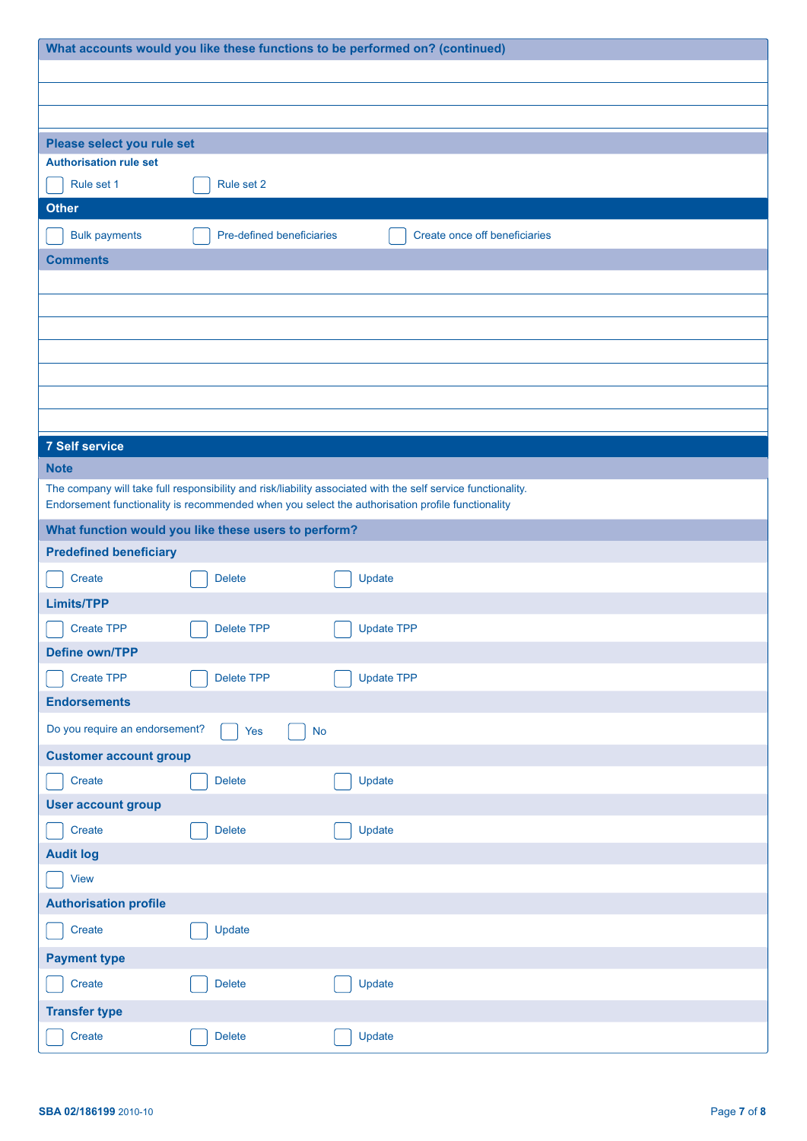| What accounts would you like these functions to be performed on? (continued) |                           |                                                                                                              |  |
|------------------------------------------------------------------------------|---------------------------|--------------------------------------------------------------------------------------------------------------|--|
|                                                                              |                           |                                                                                                              |  |
|                                                                              |                           |                                                                                                              |  |
|                                                                              |                           |                                                                                                              |  |
| Please select you rule set<br><b>Authorisation rule set</b>                  |                           |                                                                                                              |  |
| Rule set 1                                                                   | Rule set 2                |                                                                                                              |  |
| <b>Other</b>                                                                 |                           |                                                                                                              |  |
| <b>Bulk payments</b>                                                         | Pre-defined beneficiaries | Create once off beneficiaries                                                                                |  |
| <b>Comments</b>                                                              |                           |                                                                                                              |  |
|                                                                              |                           |                                                                                                              |  |
|                                                                              |                           |                                                                                                              |  |
|                                                                              |                           |                                                                                                              |  |
|                                                                              |                           |                                                                                                              |  |
|                                                                              |                           |                                                                                                              |  |
|                                                                              |                           |                                                                                                              |  |
|                                                                              |                           |                                                                                                              |  |
| <b>7 Self service</b><br><b>Note</b>                                         |                           |                                                                                                              |  |
|                                                                              |                           | The company will take full responsibility and risk/liability associated with the self service functionality. |  |
|                                                                              |                           | Endorsement functionality is recommended when you select the authorisation profile functionality             |  |
| What function would you like these users to perform?                         |                           |                                                                                                              |  |
| <b>Predefined beneficiary</b>                                                |                           |                                                                                                              |  |
| Create                                                                       | <b>Delete</b>             | Update                                                                                                       |  |
| <b>Limits/TPP</b>                                                            |                           |                                                                                                              |  |
| <b>Create TPP</b>                                                            | <b>Delete TPP</b>         | <b>Update TPP</b>                                                                                            |  |
| <b>Define own/TPP</b>                                                        |                           |                                                                                                              |  |
| <b>Create TPP</b>                                                            | <b>Delete TPP</b>         | <b>Update TPP</b>                                                                                            |  |
| <b>Endorsements</b>                                                          |                           |                                                                                                              |  |
| Do you require an endorsement?                                               | Yes                       | <b>No</b>                                                                                                    |  |
| <b>Customer account group</b>                                                |                           |                                                                                                              |  |
| Create                                                                       | <b>Delete</b>             | Update                                                                                                       |  |
| <b>User account group</b>                                                    |                           |                                                                                                              |  |
| Create                                                                       | <b>Delete</b>             | Update                                                                                                       |  |
| <b>Audit log</b>                                                             |                           |                                                                                                              |  |
| View                                                                         |                           |                                                                                                              |  |
| <b>Authorisation profile</b>                                                 |                           |                                                                                                              |  |
| Create                                                                       | Update                    |                                                                                                              |  |
| <b>Payment type</b>                                                          |                           |                                                                                                              |  |
| Create                                                                       | <b>Delete</b>             | Update                                                                                                       |  |
| <b>Transfer type</b>                                                         |                           |                                                                                                              |  |
| Create                                                                       | <b>Delete</b>             | Update                                                                                                       |  |